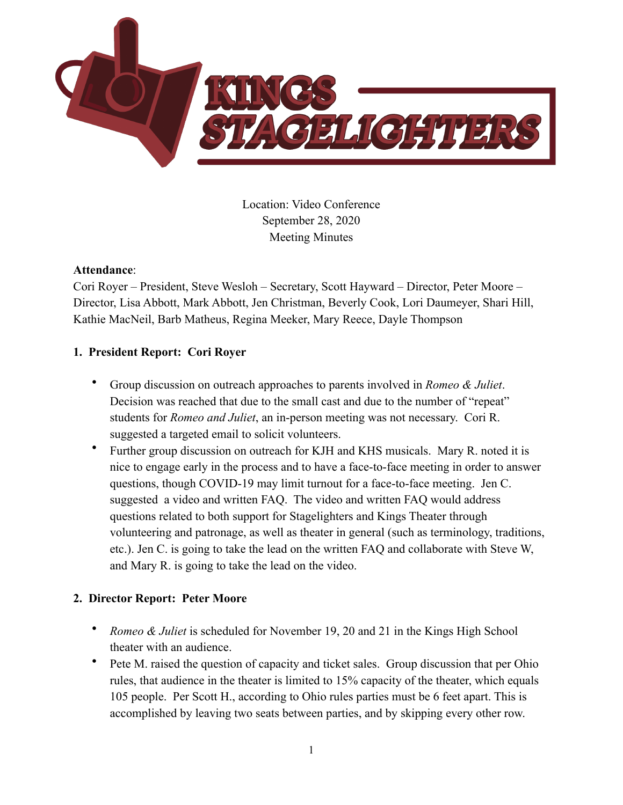

Location: Video Conference September 28, 2020 Meeting Minutes

#### **Attendance**:

Cori Royer – President, Steve Wesloh – Secretary, Scott Hayward – Director, Peter Moore – Director, Lisa Abbott, Mark Abbott, Jen Christman, Beverly Cook, Lori Daumeyer, Shari Hill, Kathie MacNeil, Barb Matheus, Regina Meeker, Mary Reece, Dayle Thompson

#### **1. President Report: Cori Royer**

- Group discussion on outreach approaches to parents involved in *Romeo & Juliet*. Decision was reached that due to the small cast and due to the number of "repeat" students for *Romeo and Juliet*, an in-person meeting was not necessary. Cori R. suggested a targeted email to solicit volunteers.
- Further group discussion on outreach for KJH and KHS musicals. Mary R. noted it is nice to engage early in the process and to have a face-to-face meeting in order to answer questions, though COVID-19 may limit turnout for a face-to-face meeting. Jen C. suggested a video and written FAQ. The video and written FAQ would address questions related to both support for Stagelighters and Kings Theater through volunteering and patronage, as well as theater in general (such as terminology, traditions, etc.). Jen C. is going to take the lead on the written FAQ and collaborate with Steve W, and Mary R. is going to take the lead on the video.

# **2. Director Report: Peter Moore**

- *Romeo & Juliet* is scheduled for November 19, 20 and 21 in the Kings High School theater with an audience.
- Pete M. raised the question of capacity and ticket sales. Group discussion that per Ohio rules, that audience in the theater is limited to 15% capacity of the theater, which equals 105 people. Per Scott H., according to Ohio rules parties must be 6 feet apart. This is accomplished by leaving two seats between parties, and by skipping every other row.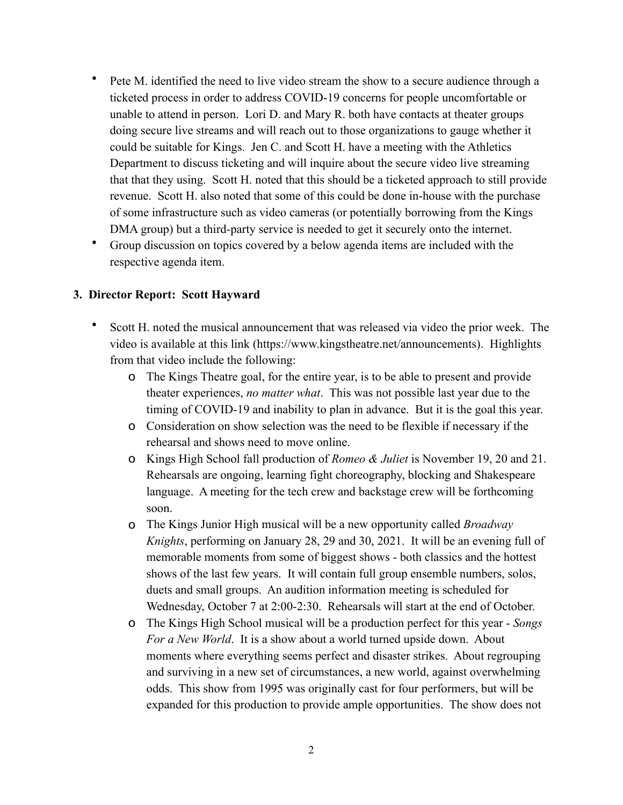- Pete M. identified the need to live video stream the show to a secure audience through a ticketed process in order to address COVID-19 concerns for people uncomfortable or unable to attend in person. Lori D. and Mary R. both have contacts at theater groups doing secure live streams and will reach out to those organizations to gauge whether it could be suitable for Kings. Jen C. and Scott H. have a meeting with the Athletics Department to discuss ticketing and will inquire about the secure video live streaming that that they using. Scott H. noted that this should be a ticketed approach to still provide revenue. Scott H. also noted that some of this could be done in-house with the purchase of some infrastructure such as video cameras (or potentially borrowing from the Kings DMA group) but a third-party service is needed to get it securely onto the internet.
- Group discussion on topics covered by a below agenda items are included with the respective agenda item.

#### **3. Director Report: Scott Hayward**

- Scott H. noted the musical announcement that was released via video the prior week. The video is available at this link (https://www.kingstheatre.net/announcements). Highlights from that video include the following:
	- o The Kings Theatre goal, for the entire year, is to be able to present and provide theater experiences, *no matter what*. This was not possible last year due to the timing of COVID-19 and inability to plan in advance. But it is the goal this year.
	- o Consideration on show selection was the need to be flexible if necessary if the rehearsal and shows need to move online.
	- o Kings High School fall production of *Romeo & Juliet* is November 19, 20 and 21. Rehearsals are ongoing, learning fight choreography, blocking and Shakespeare language. A meeting for the tech crew and backstage crew will be forthcoming soon.
	- o The Kings Junior High musical will be a new opportunity called *Broadway Knights*, performing on January 28, 29 and 30, 2021. It will be an evening full of memorable moments from some of biggest shows - both classics and the hottest shows of the last few years. It will contain full group ensemble numbers, solos, duets and small groups. An audition information meeting is scheduled for Wednesday, October 7 at 2:00-2:30. Rehearsals will start at the end of October.
	- o The Kings High School musical will be a production perfect for this year *Songs For a New World*. It is a show about a world turned upside down. About moments where everything seems perfect and disaster strikes. About regrouping and surviving in a new set of circumstances, a new world, against overwhelming odds. This show from 1995 was originally cast for four performers, but will be expanded for this production to provide ample opportunities. The show does not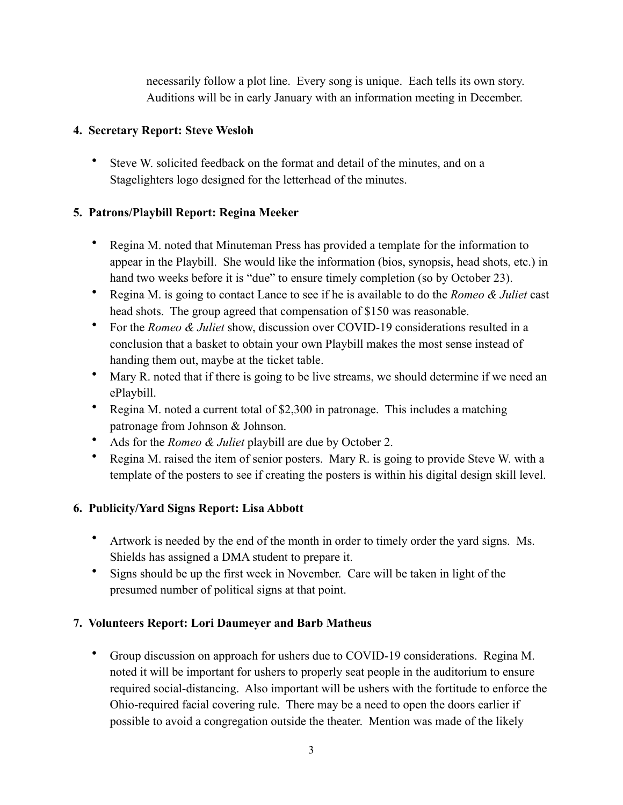necessarily follow a plot line. Every song is unique. Each tells its own story. Auditions will be in early January with an information meeting in December.

#### **4. Secretary Report: Steve Wesloh**

• Steve W. solicited feedback on the format and detail of the minutes, and on a Stagelighters logo designed for the letterhead of the minutes.

# **5. Patrons/Playbill Report: Regina Meeker**

- Regina M. noted that Minuteman Press has provided a template for the information to appear in the Playbill. She would like the information (bios, synopsis, head shots, etc.) in hand two weeks before it is "due" to ensure timely completion (so by October 23).
- Regina M. is going to contact Lance to see if he is available to do the *Romeo & Juliet* cast head shots. The group agreed that compensation of \$150 was reasonable.
- For the *Romeo & Juliet* show, discussion over COVID-19 considerations resulted in a conclusion that a basket to obtain your own Playbill makes the most sense instead of handing them out, maybe at the ticket table.
- Mary R. noted that if there is going to be live streams, we should determine if we need an ePlaybill.
- Regina M. noted a current total of \$2,300 in patronage. This includes a matching patronage from Johnson & Johnson.
- Ads for the *Romeo & Juliet* playbill are due by October 2.
- Regina M. raised the item of senior posters. Mary R. is going to provide Steve W. with a template of the posters to see if creating the posters is within his digital design skill level.

# **6. Publicity/Yard Signs Report: Lisa Abbott**

- Artwork is needed by the end of the month in order to timely order the yard signs. Ms. Shields has assigned a DMA student to prepare it.
- Signs should be up the first week in November. Care will be taken in light of the presumed number of political signs at that point.

# **7. Volunteers Report: Lori Daumeyer and Barb Matheus**

• Group discussion on approach for ushers due to COVID-19 considerations. Regina M. noted it will be important for ushers to properly seat people in the auditorium to ensure required social-distancing. Also important will be ushers with the fortitude to enforce the Ohio-required facial covering rule. There may be a need to open the doors earlier if possible to avoid a congregation outside the theater. Mention was made of the likely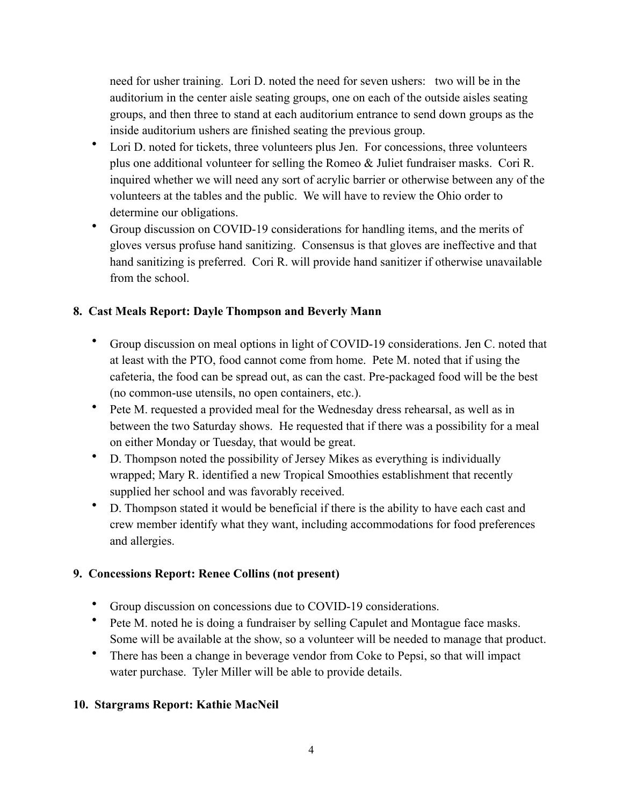need for usher training. Lori D. noted the need for seven ushers: two will be in the auditorium in the center aisle seating groups, one on each of the outside aisles seating groups, and then three to stand at each auditorium entrance to send down groups as the inside auditorium ushers are finished seating the previous group.

- Lori D. noted for tickets, three volunteers plus Jen. For concessions, three volunteers plus one additional volunteer for selling the Romeo & Juliet fundraiser masks. Cori R. inquired whether we will need any sort of acrylic barrier or otherwise between any of the volunteers at the tables and the public. We will have to review the Ohio order to determine our obligations.
- Group discussion on COVID-19 considerations for handling items, and the merits of gloves versus profuse hand sanitizing. Consensus is that gloves are ineffective and that hand sanitizing is preferred. Cori R. will provide hand sanitizer if otherwise unavailable from the school.

# **8. Cast Meals Report: Dayle Thompson and Beverly Mann**

- Group discussion on meal options in light of COVID-19 considerations. Jen C. noted that at least with the PTO, food cannot come from home. Pete M. noted that if using the cafeteria, the food can be spread out, as can the cast. Pre-packaged food will be the best (no common-use utensils, no open containers, etc.).
- Pete M. requested a provided meal for the Wednesday dress rehearsal, as well as in between the two Saturday shows. He requested that if there was a possibility for a meal on either Monday or Tuesday, that would be great.
- D. Thompson noted the possibility of Jersey Mikes as everything is individually wrapped; Mary R. identified a new Tropical Smoothies establishment that recently supplied her school and was favorably received.
- D. Thompson stated it would be beneficial if there is the ability to have each cast and crew member identify what they want, including accommodations for food preferences and allergies.

# **9. Concessions Report: Renee Collins (not present)**

- Group discussion on concessions due to COVID-19 considerations.
- Pete M. noted he is doing a fundraiser by selling Capulet and Montague face masks. Some will be available at the show, so a volunteer will be needed to manage that product.
- There has been a change in beverage vendor from Coke to Pepsi, so that will impact water purchase. Tyler Miller will be able to provide details.

# **10. Stargrams Report: Kathie MacNeil**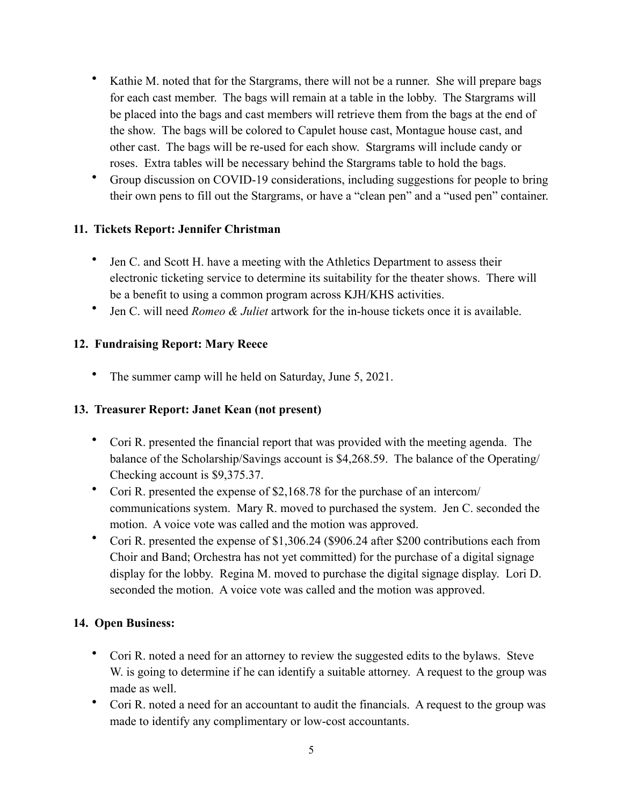- Kathie M. noted that for the Stargrams, there will not be a runner. She will prepare bags for each cast member. The bags will remain at a table in the lobby. The Stargrams will be placed into the bags and cast members will retrieve them from the bags at the end of the show. The bags will be colored to Capulet house cast, Montague house cast, and other cast. The bags will be re-used for each show. Stargrams will include candy or roses. Extra tables will be necessary behind the Stargrams table to hold the bags.
- Group discussion on COVID-19 considerations, including suggestions for people to bring their own pens to fill out the Stargrams, or have a "clean pen" and a "used pen" container.

#### **11. Tickets Report: Jennifer Christman**

- Jen C. and Scott H. have a meeting with the Athletics Department to assess their electronic ticketing service to determine its suitability for the theater shows. There will be a benefit to using a common program across KJH/KHS activities.
- Jen C. will need *Romeo & Juliet* artwork for the in-house tickets once it is available.

#### **12. Fundraising Report: Mary Reece**

• The summer camp will he held on Saturday, June 5, 2021.

#### **13. Treasurer Report: Janet Kean (not present)**

- Cori R. presented the financial report that was provided with the meeting agenda. The balance of the Scholarship/Savings account is \$4,268.59. The balance of the Operating/ Checking account is \$9,375.37.
- Cori R. presented the expense of \$2,168.78 for the purchase of an intercom/ communications system. Mary R. moved to purchased the system. Jen C. seconded the motion. A voice vote was called and the motion was approved.
- Cori R. presented the expense of \$1,306.24 (\$906.24 after \$200 contributions each from Choir and Band; Orchestra has not yet committed) for the purchase of a digital signage display for the lobby. Regina M. moved to purchase the digital signage display. Lori D. seconded the motion. A voice vote was called and the motion was approved.

#### **14. Open Business:**

- Cori R. noted a need for an attorney to review the suggested edits to the bylaws. Steve W. is going to determine if he can identify a suitable attorney. A request to the group was made as well.
- Cori R. noted a need for an accountant to audit the financials. A request to the group was made to identify any complimentary or low-cost accountants.